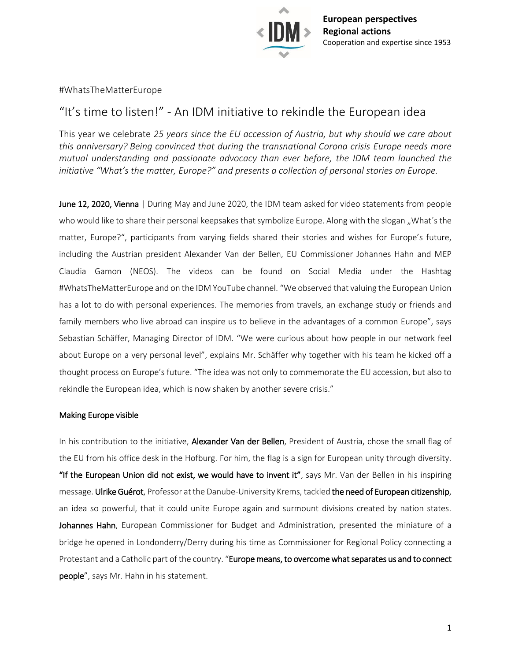

#WhatsTheMatterEurope

# "It's time to listen!" - An IDM initiative to rekindle the European idea

This year we celebrate *25 years since the EU accession of Austria, but why should we care about this anniversary? Being convinced that during the transnational Corona crisis Europe needs more mutual understanding and passionate advocacy than ever before, the IDM team launched the initiative "What's the matter, Europe?" and presents a collection of personal stories on Europe.*

June 12, 2020, Vienna | During May and June 2020, the IDM team asked for video statements from people who would like to share their personal keepsakes that symbolize Europe. Along with the slogan "What's the matter, Europe?", participants from varying fields shared their stories and wishes for Europe's future, including the Austrian president Alexander Van der Bellen, EU Commissioner Johannes Hahn and MEP Claudia Gamon (NEOS). The videos can be found on Social Media under the Hashtag #WhatsTheMatterEurope and on the IDM YouTube channel. "We observed that valuing the European Union has a lot to do with personal experiences. The memories from travels, an exchange study or friends and family members who live abroad can inspire us to believe in the advantages of a common Europe", says Sebastian Schäffer, Managing Director of IDM. "We were curious about how people in our network feel about Europe on a very personal level", explains Mr. Schäffer why together with his team he kicked off a thought process on Europe's future. "The idea was not only to commemorate the EU accession, but also to rekindle the European idea, which is now shaken by another severe crisis."

## Making Europe visible

In his contribution to the initiative, Alexander Van der Bellen, President of Austria, chose the small flag of the EU from his office desk in the Hofburg. For him, the flag is a sign for European unity through diversity. "If the European Union did not exist, we would have to invent it", says Mr. Van der Bellen in his inspiring message. Ulrike Guérot, Professor at the Danube-University Krems, tackled the need of European citizenship, an idea so powerful, that it could unite Europe again and surmount divisions created by nation states. Johannes Hahn, European Commissioner for Budget and Administration, presented the miniature of a bridge he opened in Londonderry/Derry during his time as Commissioner for Regional Policy connecting a Protestant and a Catholic part of the country. "Europe means, to overcome what separates us and to connect people", says Mr. Hahn in his statement.